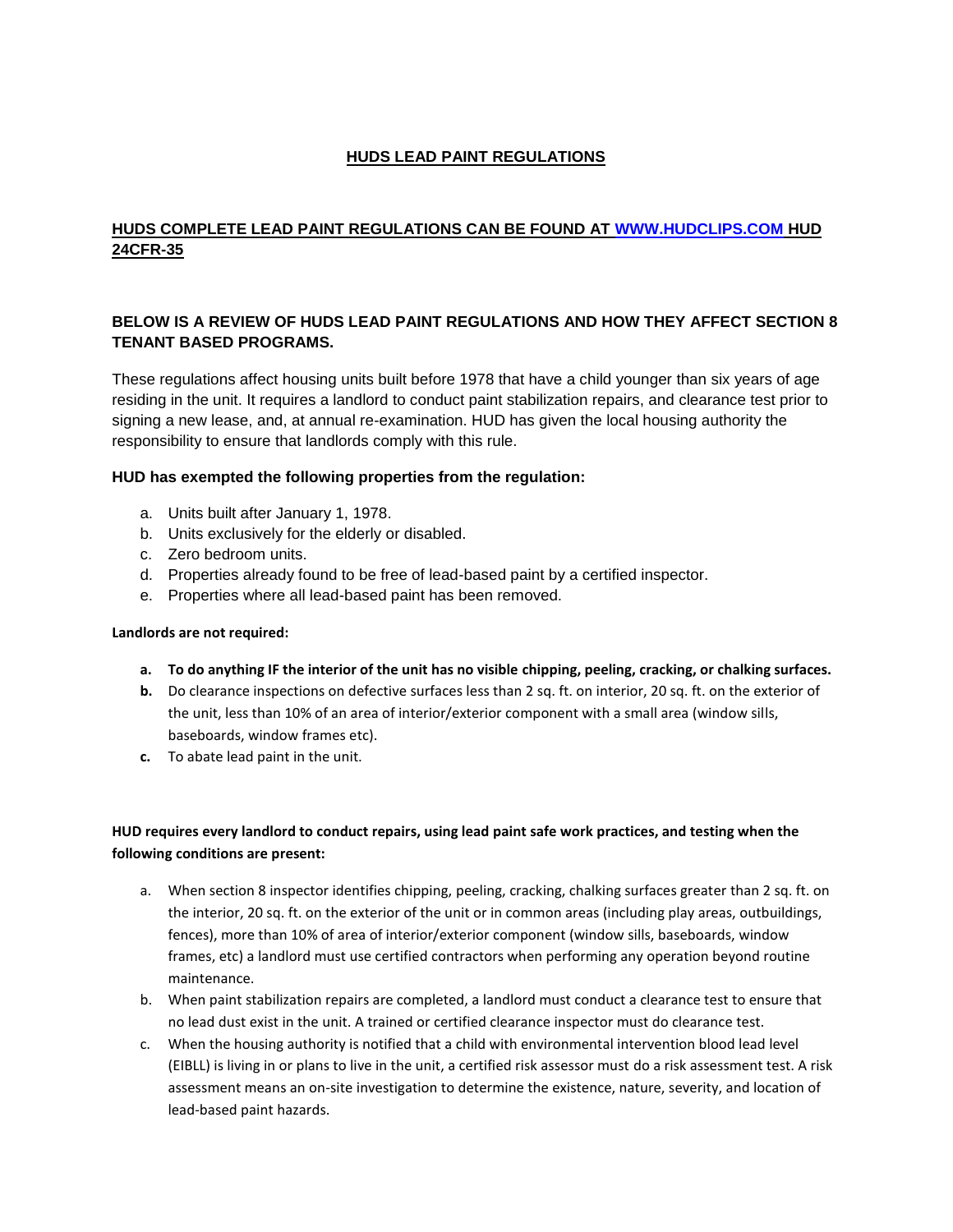# **HUDS LEAD PAINT REGULATIONS**

# **HUDS COMPLETE LEAD PAINT REGULATIONS CAN BE FOUND AT [WWW.HUDCLIPS.COM](http://www.hudclips.com/) HUD 24CFR-35**

# **BELOW IS A REVIEW OF HUDS LEAD PAINT REGULATIONS AND HOW THEY AFFECT SECTION 8 TENANT BASED PROGRAMS.**

These regulations affect housing units built before 1978 that have a child younger than six years of age residing in the unit. It requires a landlord to conduct paint stabilization repairs, and clearance test prior to signing a new lease, and, at annual re-examination. HUD has given the local housing authority the responsibility to ensure that landlords comply with this rule.

### **HUD has exempted the following properties from the regulation:**

- a. Units built after January 1, 1978.
- b. Units exclusively for the elderly or disabled.
- c. Zero bedroom units.
- d. Properties already found to be free of lead-based paint by a certified inspector.
- e. Properties where all lead-based paint has been removed.

### **Landlords are not required:**

- **a. To do anything IF the interior of the unit has no visible chipping, peeling, cracking, or chalking surfaces.**
- **b.** Do clearance inspections on defective surfaces less than 2 sq. ft. on interior, 20 sq. ft. on the exterior of the unit, less than 10% of an area of interior/exterior component with a small area (window sills, baseboards, window frames etc).
- **c.** To abate lead paint in the unit.

## **HUD requires every landlord to conduct repairs, using lead paint safe work practices, and testing when the following conditions are present:**

- a. When section 8 inspector identifies chipping, peeling, cracking, chalking surfaces greater than 2 sq. ft. on the interior, 20 sq. ft. on the exterior of the unit or in common areas (including play areas, outbuildings, fences), more than 10% of area of interior/exterior component (window sills, baseboards, window frames, etc) a landlord must use certified contractors when performing any operation beyond routine maintenance.
- b. When paint stabilization repairs are completed, a landlord must conduct a clearance test to ensure that no lead dust exist in the unit. A trained or certified clearance inspector must do clearance test.
- c. When the housing authority is notified that a child with environmental intervention blood lead level (EIBLL) is living in or plans to live in the unit, a certified risk assessor must do a risk assessment test. A risk assessment means an on-site investigation to determine the existence, nature, severity, and location of lead-based paint hazards.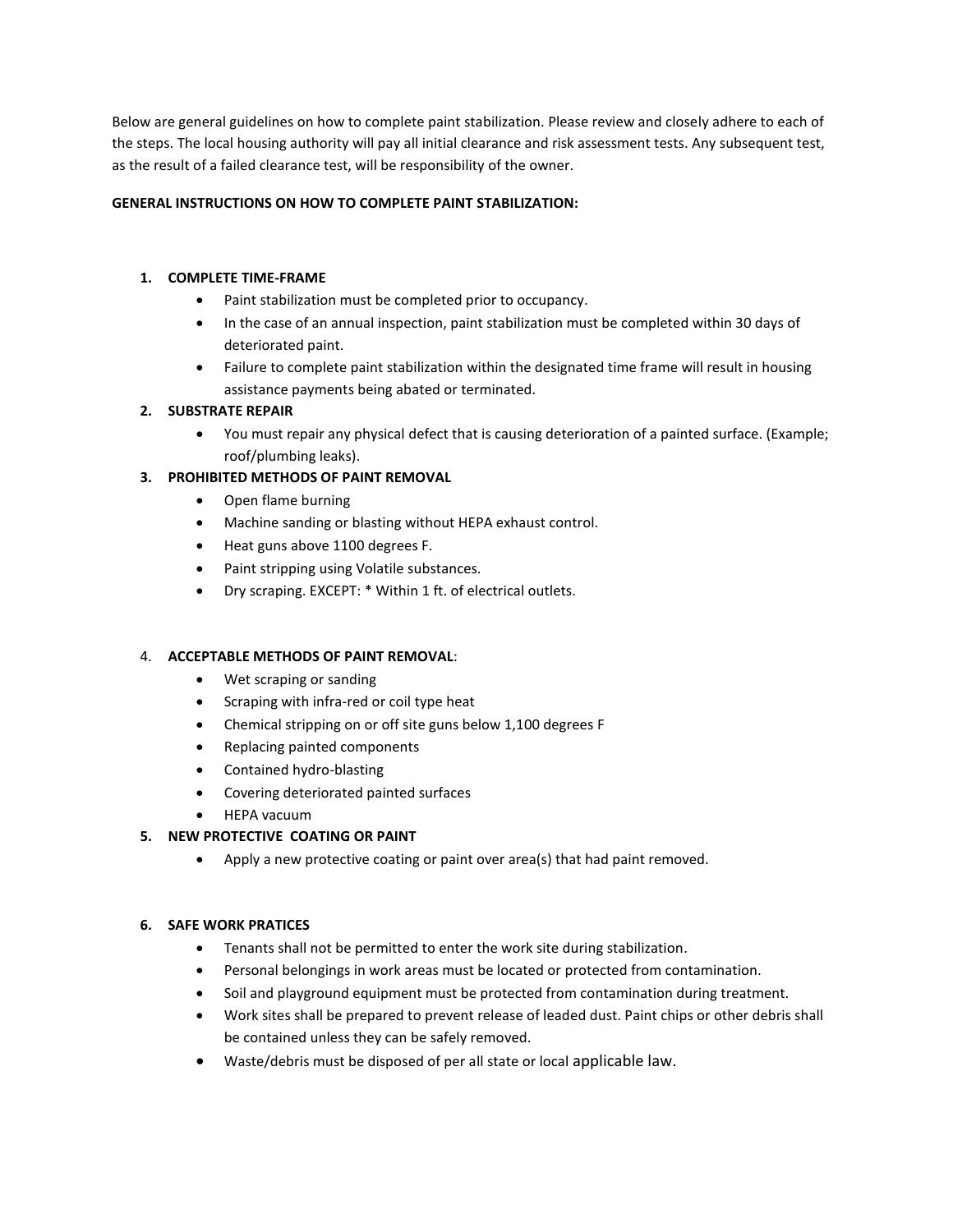Below are general guidelines on how to complete paint stabilization. Please review and closely adhere to each of the steps. The local housing authority will pay all initial clearance and risk assessment tests. Any subsequent test, as the result of a failed clearance test, will be responsibility of the owner.

### **GENERAL INSTRUCTIONS ON HOW TO COMPLETE PAINT STABILIZATION:**

## **1. COMPLETE TIME-FRAME**

- Paint stabilization must be completed prior to occupancy.
- In the case of an annual inspection, paint stabilization must be completed within 30 days of deteriorated paint.
- Failure to complete paint stabilization within the designated time frame will result in housing assistance payments being abated or terminated.

## **2. SUBSTRATE REPAIR**

 You must repair any physical defect that is causing deterioration of a painted surface. (Example; roof/plumbing leaks).

## **3. PROHIBITED METHODS OF PAINT REMOVAL**

- Open flame burning
- Machine sanding or blasting without HEPA exhaust control.
- Heat guns above 1100 degrees F.
- Paint stripping using Volatile substances.
- Dry scraping. EXCEPT: \* Within 1 ft. of electrical outlets.

### 4. **ACCEPTABLE METHODS OF PAINT REMOVAL**:

- Wet scraping or sanding
- Scraping with infra-red or coil type heat
- Chemical stripping on or off site guns below 1,100 degrees F
- Replacing painted components
- Contained hydro-blasting
- Covering deteriorated painted surfaces
- HEPA vacuum

### **5. NEW PROTECTIVE COATING OR PAINT**

Apply a new protective coating or paint over area(s) that had paint removed.

### **6. SAFE WORK PRATICES**

- Tenants shall not be permitted to enter the work site during stabilization.
- Personal belongings in work areas must be located or protected from contamination.
- Soil and playground equipment must be protected from contamination during treatment.
- Work sites shall be prepared to prevent release of leaded dust. Paint chips or other debris shall be contained unless they can be safely removed.
- Waste/debris must be disposed of per all state or local applicable law.